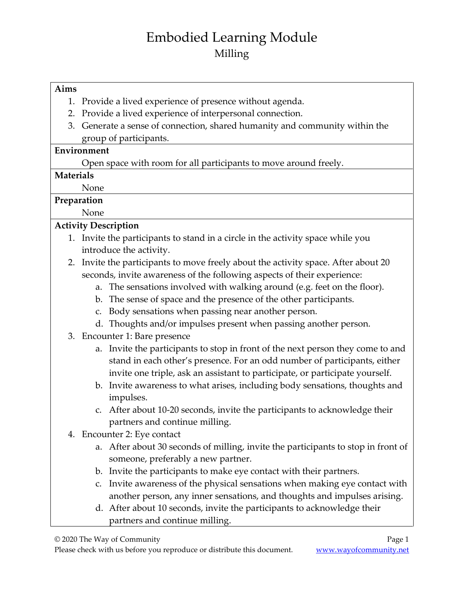# Embodied Learning Module Milling

#### **Aims**

- 1. Provide a lived experience of presence without agenda.
- 2. Provide a lived experience of interpersonal connection.
- 3. Generate a sense of connection, shared humanity and community within the group of participants.

#### **Environment**

Open space with room for all participants to move around freely.

#### **Materials**

None

### **Preparation**

None

### **Activity Description**

- 1. Invite the participants to stand in a circle in the activity space while you introduce the activity.
- 2. Invite the participants to move freely about the activity space. After about 20 seconds, invite awareness of the following aspects of their experience:
	- a. The sensations involved with walking around (e.g. feet on the floor).
	- b. The sense of space and the presence of the other participants.
	- c. Body sensations when passing near another person.
	- d. Thoughts and/or impulses present when passing another person.
- 3. Encounter 1: Bare presence
	- a. Invite the participants to stop in front of the next person they come to and stand in each other's presence. For an odd number of participants, either invite one triple, ask an assistant to participate, or participate yourself.
	- b. Invite awareness to what arises, including body sensations, thoughts and impulses.
	- c. After about 10-20 seconds, invite the participants to acknowledge their partners and continue milling.
- 4. Encounter 2: Eye contact
	- a. After about 30 seconds of milling, invite the participants to stop in front of someone, preferably a new partner.
	- b. Invite the participants to make eye contact with their partners.
	- c. Invite awareness of the physical sensations when making eye contact with another person, any inner sensations, and thoughts and impulses arising.
	- d. After about 10 seconds, invite the participants to acknowledge their partners and continue milling.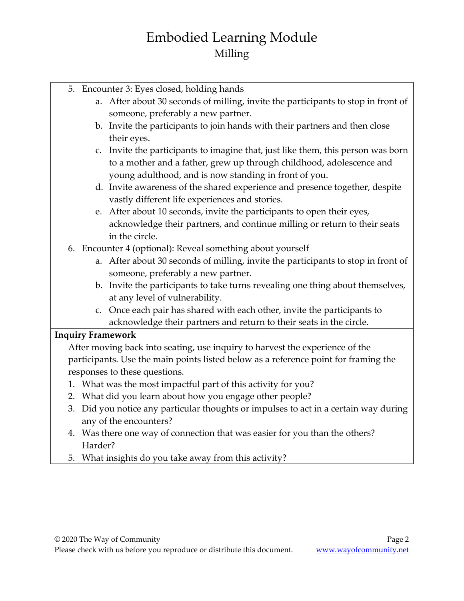# Embodied Learning Module Milling

- 5. Encounter 3: Eyes closed, holding hands
	- a. After about 30 seconds of milling, invite the participants to stop in front of someone, preferably a new partner.
	- b. Invite the participants to join hands with their partners and then close their eyes.
	- c. Invite the participants to imagine that, just like them, this person was born to a mother and a father, grew up through childhood, adolescence and young adulthood, and is now standing in front of you.
	- d. Invite awareness of the shared experience and presence together, despite vastly different life experiences and stories.
	- e. After about 10 seconds, invite the participants to open their eyes, acknowledge their partners, and continue milling or return to their seats in the circle.
- 6. Encounter 4 (optional): Reveal something about yourself
	- a. After about 30 seconds of milling, invite the participants to stop in front of someone, preferably a new partner.
	- b. Invite the participants to take turns revealing one thing about themselves, at any level of vulnerability.
	- c. Once each pair has shared with each other, invite the participants to acknowledge their partners and return to their seats in the circle.

### **Inquiry Framework**

After moving back into seating, use inquiry to harvest the experience of the participants. Use the main points listed below as a reference point for framing the responses to these questions.

- 1. What was the most impactful part of this activity for you?
- 2. What did you learn about how you engage other people?
- 3. Did you notice any particular thoughts or impulses to act in a certain way during any of the encounters?
- 4. Was there one way of connection that was easier for you than the others? Harder?
- 5. What insights do you take away from this activity?